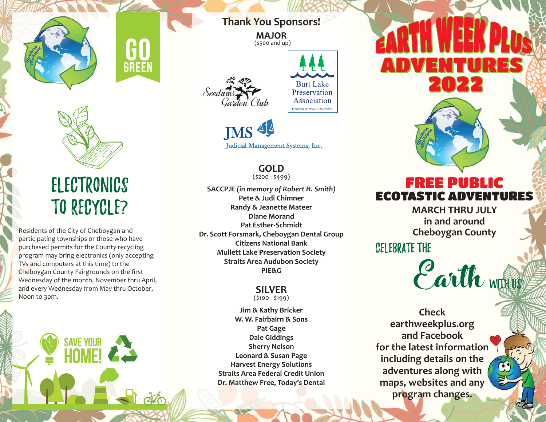

Electronics to Recycle?

GREEN

Residents of the City of Cheboygan and participating townships or those who have purchased permits for the County recycling program may bring electronics (only accepting TVs and computers at this time) to the Cheboygan County Fairgrounds on the first Wednesday of the month, November thru April, and every Wednesday from May thru October, Noon to 3pm.

**SAVE YOUR** 

**Thank You Sponsors!**

**MAJOR** (\$500 and up)



**Burt Lake** Preservation Association Preserving the Waves of the Future

# JMS 4 Judicial Management Systems, Inc.

**GOLD** (\$200 - \$499)

**SACCPJE** *(in memory of Robert H. Smith)* **Pete & Judi Chimner Randy & Jeanette Mateer Diane Morand Pat Esther-Schmidt Dr. Scott Forsmark, Cheboygan Dental Group Citizens National Bank Mullett Lake Preservation Society Straits Area Audubon Society PIE&G**

### **SILVER** (\$100 - \$199)

**Jim & Kathy Bricker W. W. Fairbairn & Sons Pat Gage Dale Giddings Sherry Nelson Leonard & Susan Page Harvest Energy Solutions Straits Area Federal Credit Union Dr. Matthew Free, Today's Dental** 킈 A NINE  $211222$ 



**MARCH THRU JULY in and around Cheboygan County**

Celebrate the

WITH US! Earth

**Check earthweekplus.org and Facebook for the latest information including details on the adventures along with maps, websites and any program changes.**